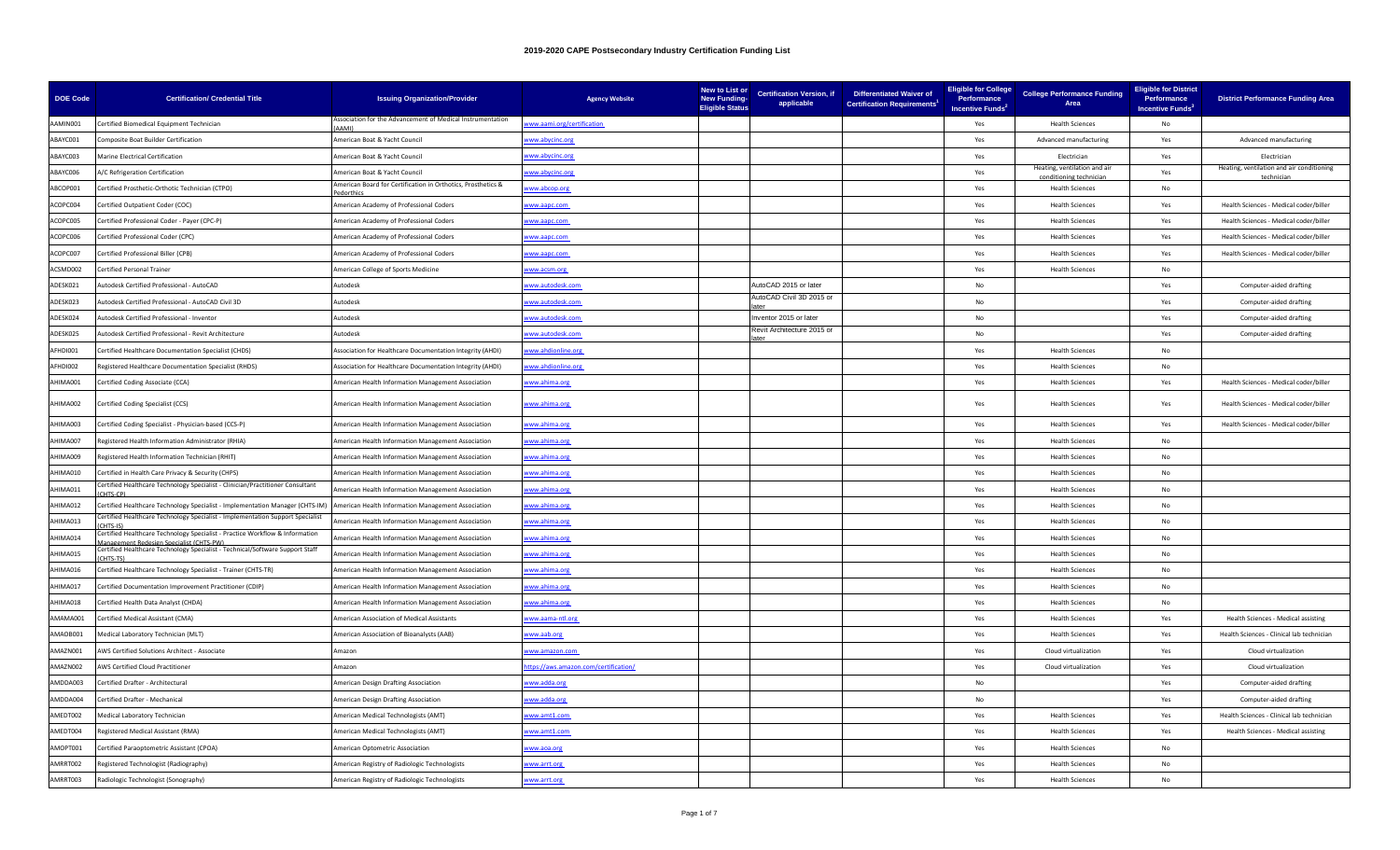| <b>DOE Code</b> | <b>Certification/ Credential Title</b>                                                                          | <b>Issuing Organization/Provider</b>                                      | <b>Agency Website</b>                | New to List or<br><b>New Funding-</b><br><b>Eligible Status</b> | <b>Certification Version, if</b><br>applicable | <b>Differentiated Waiver of</b><br><b>Certification Requirements<sup>1</sup></b> | <b>Eligible for College</b><br>Performance<br>Incentive Funds <sup>2</sup> | <b>College Performance Funding</b><br>Area      | <b>Eligible for District</b><br>Performance<br>Incentive Funds <sup>3</sup> | <b>District Performance Funding Area</b>                |
|-----------------|-----------------------------------------------------------------------------------------------------------------|---------------------------------------------------------------------------|--------------------------------------|-----------------------------------------------------------------|------------------------------------------------|----------------------------------------------------------------------------------|----------------------------------------------------------------------------|-------------------------------------------------|-----------------------------------------------------------------------------|---------------------------------------------------------|
| AAMIN001        | Certified Biomedical Equipment Technician                                                                       | Association for the Advancement of Medical Instrumentation<br><b>IMAL</b> | ww.aami.org/certification            |                                                                 |                                                |                                                                                  | Yes                                                                        | <b>Health Sciences</b>                          | No                                                                          |                                                         |
| ABAYC001        | <b>Composite Boat Builder Certification</b>                                                                     | American Boat & Yacht Council                                             | <u>/ww.abycinc.org</u>               |                                                                 |                                                |                                                                                  | Yes                                                                        | Advanced manufacturing                          | Yes                                                                         | Advanced manufacturing                                  |
| ABAYC003        | Marine Electrical Certification                                                                                 | American Boat & Yacht Council                                             | ww.abycinc.org                       |                                                                 |                                                |                                                                                  | Yes                                                                        | Flectrician                                     | Yes                                                                         | Flectrician                                             |
| ABAYC006        | A/C Refrigeration Certification                                                                                 | American Boat & Yacht Council                                             | ww.abycinc.org                       |                                                                 |                                                |                                                                                  | Yes                                                                        | Heating, ventilation and air<br>ditioning techn | Yes                                                                         | Heating, ventilation and air conditioning<br>techniciar |
| ABCOP001        | Certified Prosthetic-Orthotic Technician (CTPO)                                                                 | American Board for Certification in Orthotics, Prosthetics &              | ww.abcop.org                         |                                                                 |                                                |                                                                                  | Yes                                                                        | <b>Health Sciences</b>                          | No                                                                          |                                                         |
| ACOPC004        | Certified Outpatient Coder (COC)                                                                                | American Academy of Professional Coders                                   | ww.aapc.com                          |                                                                 |                                                |                                                                                  | Yes                                                                        | <b>Health Sciences</b>                          | Yes                                                                         | Health Sciences - Medical coder/biller                  |
| ACOPC005        | Certified Professional Coder - Payer (CPC-P)                                                                    | American Academy of Professional Coders                                   | ww.aapc.com                          |                                                                 |                                                |                                                                                  | Yes                                                                        | <b>Health Sciences</b>                          | Yes                                                                         | Health Sciences - Medical coder/biller                  |
| ACOPC006        | Certified Professional Coder (CPC)                                                                              | American Academy of Professional Coders                                   | ww.aapc.com                          |                                                                 |                                                |                                                                                  | Yes                                                                        | <b>Health Sciences</b>                          | Yes                                                                         | Health Sciences - Medical coder/biller                  |
| ACOPC007        | Certified Professional Biller (CPB)                                                                             | American Academy of Professional Coders                                   | ww.aapc.com                          |                                                                 |                                                |                                                                                  | Yes                                                                        | <b>Health Sciences</b>                          | Yes                                                                         | Health Sciences - Medical coder/biller                  |
| ACSMD002        | Certified Personal Trainer                                                                                      | American College of Sports Medicine                                       | ww.acsm.org                          |                                                                 |                                                |                                                                                  | Yes                                                                        | <b>Health Sciences</b>                          | No                                                                          |                                                         |
| ADESK021        | Autodesk Certified Professional - AutoCAD                                                                       | Autodesk                                                                  | ww.autodesk.com                      |                                                                 | AutoCAD 2015 or later                          |                                                                                  | No                                                                         |                                                 | Yes                                                                         | Computer-aided drafting                                 |
| ADESK023        | Autodesk Certified Professional - AutoCAD Civil 3D                                                              | Autodesk                                                                  | ww.autodesk.com                      |                                                                 | AutoCAD Civil 3D 2015 or                       |                                                                                  | No                                                                         |                                                 | Yes                                                                         | Computer-aided drafting                                 |
| ADESK024        | Autodesk Certified Professional - Inventor                                                                      | Autodesk                                                                  | www.autodesk.com                     |                                                                 | nventor 2015 or later                          |                                                                                  | No                                                                         |                                                 | Yes                                                                         | Computer-aided drafting                                 |
| ADESK025        | Autodesk Certified Professional - Revit Architecture                                                            | <b>Autodesk</b>                                                           | ww.autodesk.com                      |                                                                 | Revit Architecture 2015 or                     |                                                                                  | No                                                                         |                                                 | Yes                                                                         | Computer-aided drafting                                 |
| AFHDI001        | Certified Healthcare Documentation Specialist (CHDS)                                                            | Association for Healthcare Documentation Integrity (AHDI)                 | ww.ahdionline.org                    |                                                                 |                                                |                                                                                  | Yes                                                                        | <b>Health Sciences</b>                          | No                                                                          |                                                         |
| AFHDI002        | Registered Healthcare Documentation Specialist (RHDS)                                                           | Association for Healthcare Documentation Integrity (AHDI)                 | ww.ahdionline.org                    |                                                                 |                                                |                                                                                  | Yes                                                                        | <b>Health Sciences</b>                          | No                                                                          |                                                         |
| AHIMA001        | Certified Coding Associate (CCA)                                                                                | American Health Information Management Association                        | ww.ahima.org                         |                                                                 |                                                |                                                                                  | Yes                                                                        | <b>Health Sciences</b>                          | Yes                                                                         | Health Sciences - Medical coder/biller                  |
| SOOANIHA        | Certified Coding Specialist (CCS)                                                                               | American Health Information Management Association                        | www.ahima.org                        |                                                                 |                                                |                                                                                  | Yes                                                                        | <b>Health Sciences</b>                          | Yes                                                                         | Health Sciences - Medical coder/biller                  |
| AHIMA003        | Certified Coding Specialist - Physician-based (CCS-P)                                                           | American Health Information Management Association                        | ww.ahima.org                         |                                                                 |                                                |                                                                                  | Yes                                                                        | <b>Health Sciences</b>                          | Yes                                                                         | Health Sciences - Medical coder/biller                  |
| AHIMA007        | Registered Health Information Administrator (RHIA)                                                              | American Health Information Management Association                        | ww.ahima.org                         |                                                                 |                                                |                                                                                  | Yes                                                                        | <b>Health Sciences</b>                          | No                                                                          |                                                         |
| AHIMA009        | Registered Health Information Technician (RHIT)                                                                 | American Health Information Management Association                        | ww.ahima.org                         |                                                                 |                                                |                                                                                  | Yes                                                                        | <b>Health Sciences</b>                          | No                                                                          |                                                         |
| AHIMA010        | Certified in Health Care Privacy & Security (CHPS)                                                              | American Health Information Management Association                        | www.ahima.org                        |                                                                 |                                                |                                                                                  | Yes                                                                        | <b>Health Sciences</b>                          | No                                                                          |                                                         |
| AHIMA011        | ertified Healthcare Technology Specialist - Clinician/Practitioner Consultant<br>HTS-CP)                        | American Health Information Management Association                        | <u>vww.ahima.org</u>                 |                                                                 |                                                |                                                                                  | Yes                                                                        | <b>Health Sciences</b>                          | No                                                                          |                                                         |
| AHIMA012        | ertified Healthcare Technology Specialist - Implementation Manager (CHTS-IM)                                    | American Health Information Management Association                        | ww.ahima.org                         |                                                                 |                                                |                                                                                  | Yes                                                                        | <b>Health Sciences</b>                          | No                                                                          |                                                         |
| AHIMA013        | ertified Healthcare Technology Specialist - Implementation Support Specialist<br><b>HTS-IS</b>                  | American Health Information Management Association                        | www.ahima.org                        |                                                                 |                                                |                                                                                  | Yes                                                                        | <b>Health Sciences</b>                          | No                                                                          |                                                         |
| AHIMA014        | rtified Healthcare Technology Specialist - Practice Workflow & Information<br>ment Redesign Specialist (CHTS-PW | American Health Information Management Association                        | ww.ahima.org                         |                                                                 |                                                |                                                                                  | Yes                                                                        | <b>Health Sciences</b>                          | No                                                                          |                                                         |
| AHIMA015        | ertified Healthcare Technology Specialist - Technical/Software Support Staff<br><b>ITS-TSI</b>                  | American Health Information Management Association                        | www.ahima.org                        |                                                                 |                                                |                                                                                  | Yes                                                                        | <b>Health Sciences</b>                          | No                                                                          |                                                         |
| AHIMA016        | Certified Healthcare Technology Specialist - Trainer (CHTS-TR)                                                  | American Health Information Management Association                        | ww.ahima.org                         |                                                                 |                                                |                                                                                  | Yes                                                                        | <b>Health Sciences</b>                          | No                                                                          |                                                         |
| AHIMA017        | Certified Documentation Improvement Practitioner (CDIP)                                                         | American Health Information Management Association                        | ww.ahima.org                         |                                                                 |                                                |                                                                                  | Yes                                                                        | <b>Health Sciences</b>                          | No                                                                          |                                                         |
| AHIMA018        | Certified Health Data Analyst (CHDA)                                                                            | American Health Information Management Association                        | ww.ahima.org                         |                                                                 |                                                |                                                                                  | Yes                                                                        | <b>Health Sciences</b>                          | No                                                                          |                                                         |
| AMAMA001        | ertified Medical Assistant (CMA)                                                                                | American Association of Medical Assistants                                | ww.aama-ntl.org                      |                                                                 |                                                |                                                                                  | Yes                                                                        | <b>Health Sciences</b>                          | Yes                                                                         | Health Sciences - Medical assisting                     |
| AMAOB001        | Medical Laboratory Technician (MLT)                                                                             | American Association of Bioanalysts (AAB)                                 | www.aab.org                          |                                                                 |                                                |                                                                                  | Yes                                                                        | <b>Health Sciences</b>                          | Yes                                                                         | Health Sciences - Clinical lab technician               |
| AMAZN001        | AWS Certified Solutions Architect - Associate                                                                   | Amazon                                                                    | ww.amazon.com                        |                                                                 |                                                |                                                                                  | Yes                                                                        | Cloud virtualization                            | Yes                                                                         | Cloud virtualization                                    |
| AMAZN002        | <b>AWS Certified Cloud Practitioner</b>                                                                         | Amazon                                                                    | ttps://aws.amazon.com/certification/ |                                                                 |                                                |                                                                                  | Yes                                                                        | Cloud virtualization                            | Yes                                                                         | Cloud virtualization                                    |
| AMDDA003        | Certified Drafter - Architectural                                                                               | American Design Drafting Association                                      | ww.adda.org                          |                                                                 |                                                |                                                                                  | No                                                                         |                                                 | Yes                                                                         | Computer-aided drafting                                 |
| AMDDA004        | ertified Drafter - Mechanical                                                                                   | American Design Drafting Association                                      | ww.adda.org                          |                                                                 |                                                |                                                                                  | No                                                                         |                                                 | Yes                                                                         | Computer-aided drafting                                 |
| AMEDT002        | Medical Laboratory Technician                                                                                   | American Medical Technologists (AMT)                                      | ww.amt1.com                          |                                                                 |                                                |                                                                                  | Yes                                                                        | <b>Health Sciences</b>                          | Yes                                                                         | Health Sciences - Clinical lab technician               |
| AMEDT004        | egistered Medical Assistant (RMA)                                                                               | American Medical Technologists (AMT)                                      | ww.amt1.com                          |                                                                 |                                                |                                                                                  | Yes                                                                        | <b>Health Sciences</b>                          | Yes                                                                         | Health Sciences - Medical assisting                     |
| AMOPT001        | Certified Paraoptometric Assistant (CPOA)                                                                       | American Optometric Association                                           | ww.aoa.org                           |                                                                 |                                                |                                                                                  | Yes                                                                        | <b>Health Sciences</b>                          | No                                                                          |                                                         |
| AMRRT002        | Registered Technologist (Radiography)                                                                           | American Registry of Radiologic Technologists                             | ww.arrt.org                          |                                                                 |                                                |                                                                                  | Yes                                                                        | <b>Health Sciences</b>                          | No                                                                          |                                                         |
| AMRRT003        | Radiologic Technologist (Sonography)                                                                            | American Registry of Radiologic Technologists                             | ww.arrt.org                          |                                                                 |                                                |                                                                                  | Yes                                                                        | <b>Health Sciences</b>                          | No                                                                          |                                                         |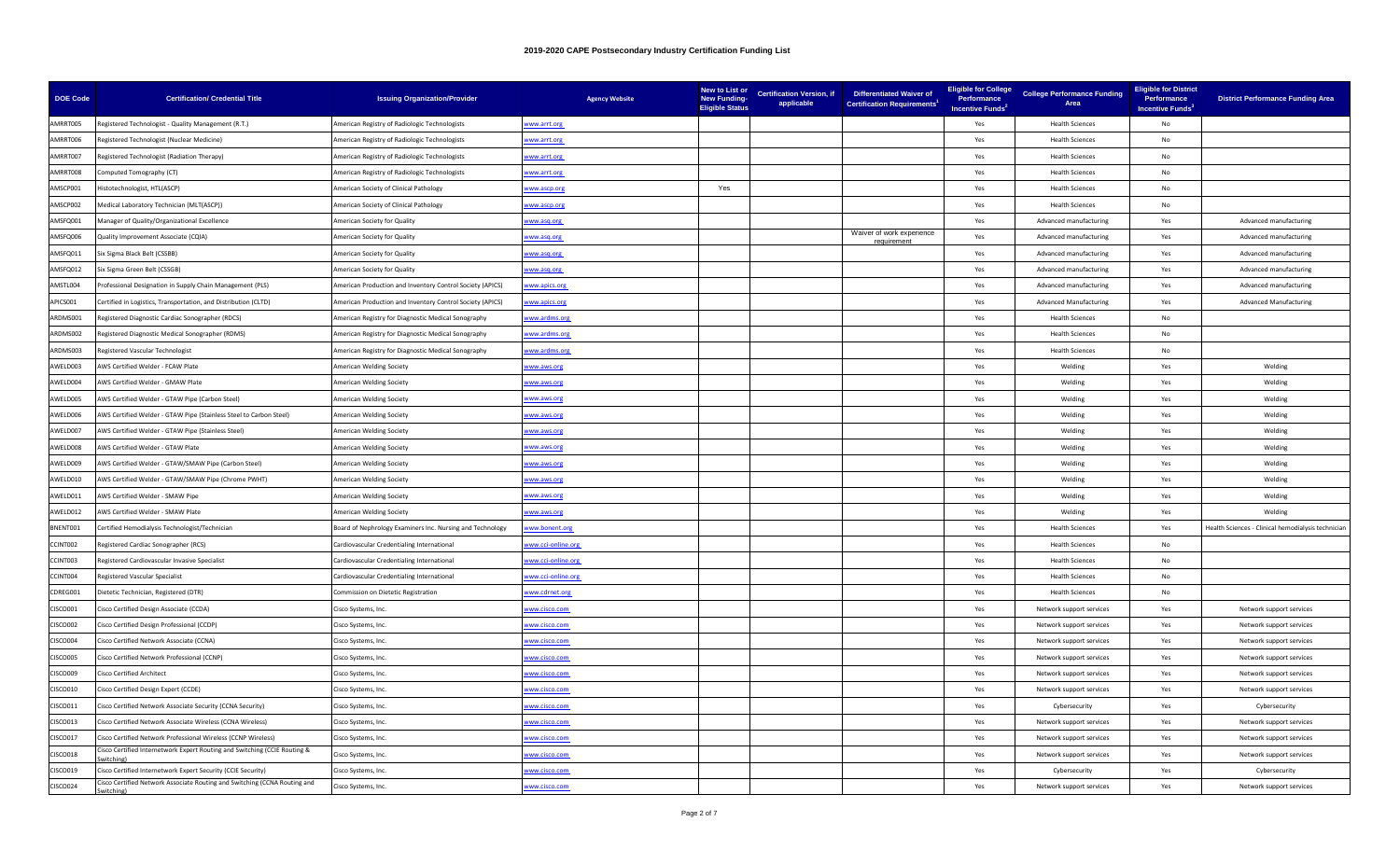| <b>DOE Code</b> | <b>Certification/ Credential Title</b>                                                 | <b>Issuing Organization/Provider</b>                      | <b>Agency Website</b> | New to List or<br><b>New Funding-</b><br><b>Eligible Status</b> | <b>Certification Version, if</b><br>applicable | Differentiated Waiver of<br><b>Certification Requirements<sup>1</sup></b> | Eligible for College<br>Performance<br><b>Incentive Funds</b> | <b>College Performance Funding</b><br>Area | <b>Eligible for District</b><br>Performance<br>Incentive Funds <sup>3</sup> | <b>District Performance Funding Area</b>           |
|-----------------|----------------------------------------------------------------------------------------|-----------------------------------------------------------|-----------------------|-----------------------------------------------------------------|------------------------------------------------|---------------------------------------------------------------------------|---------------------------------------------------------------|--------------------------------------------|-----------------------------------------------------------------------------|----------------------------------------------------|
| AMRRT005        | Registered Technologist - Quality Management (R.T.)                                    | American Registry of Radiologic Technologists             | www.arrt.org          |                                                                 |                                                |                                                                           | Yes                                                           | <b>Health Sciences</b>                     | No                                                                          |                                                    |
| AMRRT006        | Registered Technologist (Nuclear Medicine)                                             | American Registry of Radiologic Technologists             | ww.arrt.org           |                                                                 |                                                |                                                                           | Yes                                                           | <b>Health Sciences</b>                     | <b>No</b>                                                                   |                                                    |
| AMRRT007        | Registered Technologist (Radiation Therapy)                                            | merican Registry of Radiologic Technologists              | ww.arrt.org           |                                                                 |                                                |                                                                           | Yes                                                           | <b>Health Sciences</b>                     | No                                                                          |                                                    |
| AMRRT008        | Computed Tomography (CT)                                                               | American Registry of Radiologic Technologists             | ww.arrt.org           |                                                                 |                                                |                                                                           | Yes                                                           | <b>Health Sciences</b>                     | No                                                                          |                                                    |
| AMSCP001        | listotechnologist, HTL(ASCP)                                                           | American Society of Clinical Pathology                    | ww.ascp.org           | Yes                                                             |                                                |                                                                           | Yes                                                           | <b>Health Sciences</b>                     | No                                                                          |                                                    |
| AMSCP002        | Medical Laboratory Technician (MLT(ASCP))                                              | American Society of Clinical Pathology                    | ww.ascp.org           |                                                                 |                                                |                                                                           | Yes                                                           | <b>Health Sciences</b>                     | No                                                                          |                                                    |
| AMSFQ001        | Manager of Quality/Organizational Excellence                                           | American Society for Quality                              | www.asq.org           |                                                                 |                                                |                                                                           | Yes                                                           | Advanced manufacturing                     | Yes                                                                         | Advanced manufacturing                             |
| AMSFQ006        | Quality Improvement Associate (CQIA)                                                   | American Society for Quality                              | ww.asq.org            |                                                                 |                                                | Waiver of work experience<br>requirement                                  | Yes                                                           | Advanced manufacturing                     | Yes                                                                         | Advanced manufacturing                             |
| AMSFQ011        | Six Sigma Black Belt (CSSBB)                                                           | American Society for Quality                              | ww.asq.org            |                                                                 |                                                |                                                                           | Yes                                                           | Advanced manufacturing                     | Yes                                                                         | Advanced manufacturing                             |
| AMSFQ012        | Six Sigma Green Belt (CSSGB)                                                           | <b>American Society for Quality</b>                       | ww.asq.org            |                                                                 |                                                |                                                                           | Yes                                                           | Advanced manufacturing                     | Yes                                                                         | Advanced manufacturing                             |
| AMSTL004        | Professional Designation in Supply Chain Management (PLS)                              | American Production and Inventory Control Society (APICS) | ww.apics.org          |                                                                 |                                                |                                                                           | Yes                                                           | Advanced manufacturing                     | Yes                                                                         | Advanced manufacturing                             |
| APICS001        | Certified in Logistics, Transportation, and Distribution (CLTD)                        | American Production and Inventory Control Society (APICS) | www.apics.org         |                                                                 |                                                |                                                                           | Yes                                                           | <b>Advanced Manufacturing</b>              | Yes                                                                         | <b>Advanced Manufacturing</b>                      |
| ARDMS001        | egistered Diagnostic Cardiac Sonographer (RDCS)                                        | merican Registry for Diagnostic Medical Sonography        | ww.ardms.org          |                                                                 |                                                |                                                                           | Yes                                                           | <b>Health Sciences</b>                     | No                                                                          |                                                    |
| ARDMS002        | Registered Diagnostic Medical Sonographer (RDMS)                                       | American Registry for Diagnostic Medical Sonography       | ww.ardms.org          |                                                                 |                                                |                                                                           | Yes                                                           | <b>Health Sciences</b>                     | No                                                                          |                                                    |
| ARDMS003        | Registered Vascular Technologist                                                       | American Registry for Diagnostic Medical Sonography       | vww.ardms.org         |                                                                 |                                                |                                                                           | Yes                                                           | <b>Health Sciences</b>                     | No                                                                          |                                                    |
| AWELD003        | <b>WS Certified Welder - FCAW Plate</b>                                                | <b>American Welding Society</b>                           | ww.aws.org            |                                                                 |                                                |                                                                           | Yes                                                           | Welding                                    | Yes                                                                         | Welding                                            |
| AWELD004        | AWS Certified Welder - GMAW Plate                                                      | <b>American Welding Society</b>                           | ww.aws.org            |                                                                 |                                                |                                                                           | Yes                                                           | Welding                                    | Yes                                                                         | Welding                                            |
| AWELD005        | AWS Certified Welder - GTAW Pipe (Carbon Steel)                                        | American Welding Society                                  | ww.aws.org            |                                                                 |                                                |                                                                           | Yes                                                           | Welding                                    | Yes                                                                         | Welding                                            |
| AWELD006        | AWS Certified Welder - GTAW Pipe (Stainless Steel to Carbon Steel)                     | American Welding Society                                  | vww.aws.org           |                                                                 |                                                |                                                                           | Yes                                                           | Welding                                    | Yes                                                                         | Welding                                            |
| AWELD007        | AWS Certified Welder - GTAW Pipe (Stainless Steel)                                     | <b>American Welding Society</b>                           | vww.aws.org           |                                                                 |                                                |                                                                           | Yes                                                           | Welding                                    | Yes                                                                         | Welding                                            |
| AWELD008        | WS Certified Welder - GTAW Plate                                                       | American Welding Society                                  | ww.aws.org            |                                                                 |                                                |                                                                           | Yes                                                           | Welding                                    | Yes                                                                         | Welding                                            |
| AWELD009        | AWS Certified Welder - GTAW/SMAW Pipe (Carbon Steel)                                   | American Welding Society                                  | ww.aws.org            |                                                                 |                                                |                                                                           | Yes                                                           | Welding                                    | Yes                                                                         | Welding                                            |
| AWELD010        | AWS Certified Welder - GTAW/SMAW Pipe (Chrome PWHT)                                    | merican Welding Society                                   | ww.aws.org            |                                                                 |                                                |                                                                           | Yes                                                           | Welding                                    | Yes                                                                         | Welding                                            |
| AWELD011        | AWS Certified Welder - SMAW Pipe                                                       | American Welding Society                                  | www.aws.org           |                                                                 |                                                |                                                                           | Yes                                                           | Welding                                    | Yes                                                                         | Welding                                            |
| AWELD012        | AWS Certified Welder - SMAW Plate                                                      | American Welding Society                                  | www.aws.org           |                                                                 |                                                |                                                                           | Yes                                                           | Welding                                    | Yes                                                                         | Welding                                            |
| BNENT001        | Certified Hemodialysis Technologist/Technician                                         | oard of Nephrology Examiners Inc. Nursing and Technology  | ww.bonent.org         |                                                                 |                                                |                                                                           | Yes                                                           | <b>Health Sciences</b>                     | Yes                                                                         | lealth Sciences - Clinical hemodialysis techniciar |
| CCINT002        | Registered Cardiac Sonographer (RCS)                                                   | Cardiovascular Credentialing International                | ww.cci-online.org     |                                                                 |                                                |                                                                           | Yes                                                           | <b>Health Sciences</b>                     | No                                                                          |                                                    |
| CCINT003        | Registered Cardiovascular Invasive Specialist                                          | Cardiovascular Credentialing International                | ww.cci-online.org     |                                                                 |                                                |                                                                           | Yes                                                           | <b>Health Sciences</b>                     | No                                                                          |                                                    |
| CCINT004        | Registered Vascular Specialist                                                         | Cardiovascular Credentialing International                | ww.cci-online.org     |                                                                 |                                                |                                                                           | Yes                                                           | <b>Health Sciences</b>                     | No                                                                          |                                                    |
| CDREG001        | Dietetic Technician, Registered (DTR)                                                  | Commission on Dietetic Registration                       | www.cdrnet.org        |                                                                 |                                                |                                                                           | Yes                                                           | <b>Health Sciences</b>                     | No                                                                          |                                                    |
| CISCO001        | Cisco Certified Design Associate (CCDA)                                                | Cisco Systems, Inc.                                       | ww.cisco.com          |                                                                 |                                                |                                                                           | Yes                                                           | Network support services                   | Yes                                                                         | Network support services                           |
| <b>CISCO002</b> | Cisco Certified Design Professional (CCDP)                                             | Cisco Systems, Inc.                                       | vww.cisco.com         |                                                                 |                                                |                                                                           | Yes                                                           | Network support services                   | Yes                                                                         | Network support services                           |
| <b>CISCO004</b> | Cisco Certified Network Associate (CCNA)                                               | Cisco Systems, Inc.                                       | ww.cisco.com          |                                                                 |                                                |                                                                           | Yes                                                           | Network support services                   | Yes                                                                         | Network support services                           |
| <b>CISCO005</b> | Cisco Certified Network Professional (CCNP)                                            | Cisco Systems, Inc.                                       | ww.cisco.com          |                                                                 |                                                |                                                                           | Yes                                                           | Network support services                   | Yes                                                                         | Network support services                           |
| CISCO009        | <b>Cisco Certified Architect</b>                                                       | Cisco Systems, Inc.                                       | vww.cisco.com         |                                                                 |                                                |                                                                           | Yes                                                           | Network support services                   | Yes                                                                         | Network support services                           |
| CISCO010        | Cisco Certified Design Expert (CCDE)                                                   | Cisco Systems, Inc.                                       | ww.cisco.com          |                                                                 |                                                |                                                                           | Yes                                                           | Network support services                   | Yes                                                                         | Network support services                           |
| CISCO011        | Cisco Certified Network Associate Security (CCNA Security)                             | Cisco Systems, Inc.                                       | ww.cisco.com          |                                                                 |                                                |                                                                           | Yes                                                           | Cybersecurity                              | Yes                                                                         | Cybersecurity                                      |
| CISCO013        | Cisco Certified Network Associate Wireless (CCNA Wireless)                             | Cisco Systems, Inc.                                       | ww.cisco.com          |                                                                 |                                                |                                                                           | Yes                                                           | Network support services                   | Yes                                                                         | Network support services                           |
| CISCO017        | Cisco Certified Network Professional Wireless (CCNP Wireless)                          | Cisco Systems, Inc.                                       | ww.cisco.com          |                                                                 |                                                |                                                                           | Yes                                                           | Network support services                   | Yes                                                                         | Network support services                           |
| CISCO018        | Cisco Certified Internetwork Expert Routing and Switching (CCIE Routing &<br>ritching) | Cisco Systems, Inc.                                       | vww.cisco.com         |                                                                 |                                                |                                                                           | Yes                                                           | Network support services                   | Yes                                                                         | Network support services                           |
| CISCO019        | Cisco Certified Internetwork Expert Security (CCIE Security)                           | Cisco Systems, Inc.                                       | ww.cisco.com          |                                                                 |                                                |                                                                           | Yes                                                           | Cybersecurity                              | Yes                                                                         | Cybersecurity                                      |
| <b>CISCO024</b> | Cisco Certified Network Associate Routing and Switching (CCNA Routing and<br>itching   | Cisco Systems, Inc.                                       | ww.cisco.com          |                                                                 |                                                |                                                                           | Yes                                                           | Network support services                   | Yes                                                                         | Network support services                           |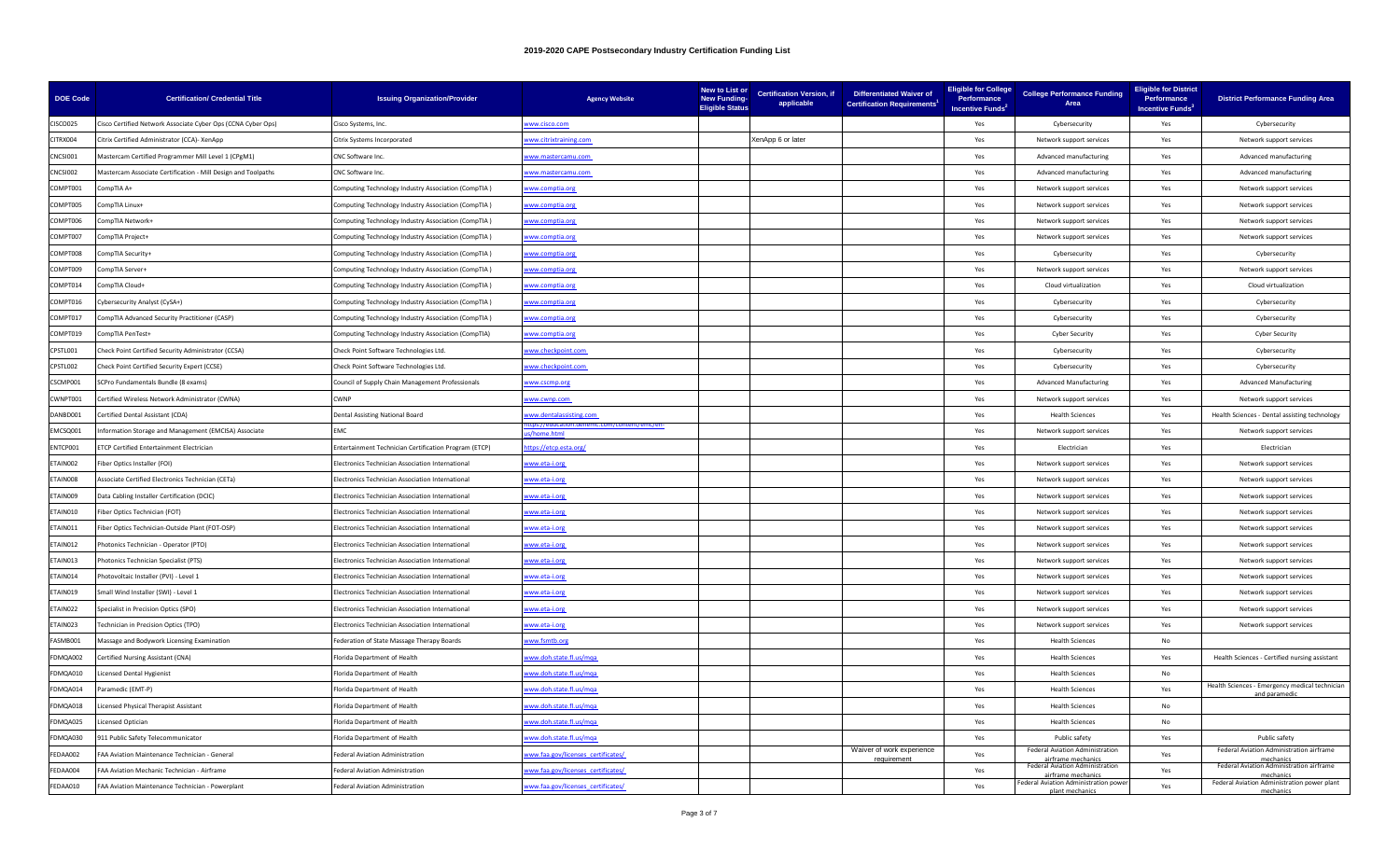| <b>DOE Code</b> | <b>Certification/ Credential Title</b>                        | <b>Issuing Organization/Provider</b>                    | <b>Agency Website</b>             | New to List or<br><b>New Funding-</b><br><b>Eligible Status</b> | <b>Certification Version, if</b><br>applicable | <b>Differentiated Waiver of</b><br><b>Certification Requirements</b> | <b>Eligible for College</b><br>Performance<br>Incentive Funds <sup>2</sup> | <b>College Performance Funding</b><br>Area                   | <b>Eligible for District</b><br>Performance<br>Incentive Funds <sup>3</sup> | <b>District Performance Funding Area</b>                       |
|-----------------|---------------------------------------------------------------|---------------------------------------------------------|-----------------------------------|-----------------------------------------------------------------|------------------------------------------------|----------------------------------------------------------------------|----------------------------------------------------------------------------|--------------------------------------------------------------|-----------------------------------------------------------------------------|----------------------------------------------------------------|
| CISCO025        | Cisco Certified Network Associate Cyber Ops (CCNA Cyber Ops)  | Cisco Systems, Inc.                                     | ww.cisco.com                      |                                                                 |                                                |                                                                      | Yes                                                                        | Cybersecurity                                                | Yes                                                                         | Cybersecurity                                                  |
| CITRX004        | Citrix Certified Administrator (CCA)- XenApp                  | Citrix Systems Incorporated                             | ww.citrixtraining.com             |                                                                 | XenApp 6 or later                              |                                                                      | Yes                                                                        | Network support services                                     | Yes                                                                         | Network support services                                       |
| CNCSI001        | Mastercam Certified Programmer Mill Level 1 (CPgM1)           | CNC Software Inc.                                       | ww.mastercamu.com                 |                                                                 |                                                |                                                                      | Yes                                                                        | Advanced manufacturing                                       | Yes                                                                         | Advanced manufacturing                                         |
| CNCSI002        | Mastercam Associate Certification - Mill Design and Toolpaths | CNC Software Inc.                                       | ww.mastercamu.com                 |                                                                 |                                                |                                                                      | Yes                                                                        | Advanced manufacturing                                       | Yes                                                                         | Advanced manufacturing                                         |
| COMPT001        | -CompTIA A                                                    | Computing Technology Industry Association (CompTIA)     | ww.comptia.org                    |                                                                 |                                                |                                                                      | Yes                                                                        | Network support services                                     | Yes                                                                         | Network support services                                       |
| COMPT005        | CompTIA Linux+                                                | Computing Technology Industry Association (CompTIA)     | ww.comptia.org                    |                                                                 |                                                |                                                                      | Yes                                                                        | Network support services                                     | Yes                                                                         | Network support services                                       |
| COMPT006        | CompTIA Network+                                              | Computing Technology Industry Association (CompTIA)     | ww.comptia.org                    |                                                                 |                                                |                                                                      | Yes                                                                        | Network support services                                     | Yes                                                                         | Network support services                                       |
| COMPT007        | CompTIA Project+                                              | Computing Technology Industry Association (CompTIA)     | ww.comptia.org                    |                                                                 |                                                |                                                                      | Yes                                                                        | Network support services                                     | Yes                                                                         | Network support services                                       |
| COMPT008        | CompTIA Security+                                             | Computing Technology Industry Association (CompTIA)     | ww.comptia.org                    |                                                                 |                                                |                                                                      | Yes                                                                        | Cybersecurity                                                | Yes                                                                         | Cybersecurity                                                  |
| COMPT009        | CompTIA Server+                                               | Computing Technology Industry Association (CompTIA)     | ww.comptia.org                    |                                                                 |                                                |                                                                      | Yes                                                                        | Network support services                                     | Yes                                                                         | Network support services                                       |
| COMPT014        | CompTIA Cloud+                                                | Computing Technology Industry Association (CompTIA)     | ww.comptia.org                    |                                                                 |                                                |                                                                      | Yes                                                                        | Cloud virtualization                                         | Yes                                                                         | Cloud virtualization                                           |
| COMPT016        | Cybersecurity Analyst (CySA+)                                 | Computing Technology Industry Association (CompTIA)     | ww.comptia.org                    |                                                                 |                                                |                                                                      | Yes                                                                        | Cybersecurity                                                | Yes                                                                         | Cybersecurity                                                  |
| COMPT017        | CompTIA Advanced Security Practitioner (CASP)                 | Computing Technology Industry Association (CompTIA)     | ww.comptia.org                    |                                                                 |                                                |                                                                      | Yes                                                                        | Cybersecurity                                                | Yes                                                                         | Cybersecurity                                                  |
| COMPT019        | CompTIA PenTest+                                              | Computing Technology Industry Association (CompTIA)     | ww.comptia.org                    |                                                                 |                                                |                                                                      | Yes                                                                        | <b>Cyber Security</b>                                        | Yes                                                                         | <b>Cyber Security</b>                                          |
| CPSTL001        | Check Point Certified Security Administrator (CCSA)           | Check Point Software Technologies Ltd.                  | ww.checkpoint.com                 |                                                                 |                                                |                                                                      | Yes                                                                        | Cybersecurity                                                | Yes                                                                         | Cybersecurity                                                  |
| CPSTL002        | Check Point Certified Security Expert (CCSE)                  | Check Point Software Technologies Ltd.                  | ww.checkpoint.com                 |                                                                 |                                                |                                                                      | Yes                                                                        | Cybersecurity                                                | Yes                                                                         | Cybersecurity                                                  |
| CSCMP001        | SCPro Fundamentals Bundle (8 exams)                           | Council of Supply Chain Management Professionals        | ww.cscmp.org                      |                                                                 |                                                |                                                                      | Yes                                                                        | <b>Advanced Manufacturing</b>                                | Yes                                                                         | <b>Advanced Manufacturing</b>                                  |
| CWNPT001        | Certified Wireless Network Administrator (CWNA)               | CWNP                                                    | ww.cwnp.com                       |                                                                 |                                                |                                                                      | Yes                                                                        | Network support services                                     | Yes                                                                         | Network support services                                       |
| DANBD001        | Certified Dental Assistant (CDA)                              | Dental Assisting National Board                         | ww.dentalassisting.com            |                                                                 |                                                |                                                                      | Yes                                                                        | <b>Health Sciences</b>                                       | Yes                                                                         | Health Sciences - Dental assisting technology                  |
| EMCSQ001        | Information Storage and Management (EMCISA) Associate         | EMC                                                     | home.html                         |                                                                 |                                                |                                                                      | Yes                                                                        | Network support services                                     | Yes                                                                         | Network support services                                       |
| ENTCP001        | <b>FCP Certified Entertainment Electrician</b>                | Entertainment Technician Certification Program (ETCP)   | tps://etcp.esta.org/              |                                                                 |                                                |                                                                      | Yes                                                                        | Electrician                                                  | Yes                                                                         | Electrician                                                    |
| ETAIN002        | Fiber Optics Installer (FOI)                                  | Electronics Technician Association International        | www.eta-i.org                     |                                                                 |                                                |                                                                      | Yes                                                                        | Network support services                                     | Yes                                                                         | Network support services                                       |
| ETAIN008        | Associate Certified Electronics Technician (CETa)             | lectronics Technician Association International         | ww.eta-i.org                      |                                                                 |                                                |                                                                      | Yes                                                                        | Network support services                                     | Yes                                                                         | Network support services                                       |
| ETAIN009        | Data Cabling Installer Certification (DCIC)                   | Electronics Technician Association International        | ww.eta-i.org                      |                                                                 |                                                |                                                                      | Yes                                                                        | Network support services                                     | Yes                                                                         | Network support services                                       |
| ETAIN010        | iber Optics Technician (FOT)                                  | Electronics Technician Association International        | ww.eta-i.org                      |                                                                 |                                                |                                                                      | Yes                                                                        | Network support services                                     | Yes                                                                         | Network support services                                       |
| TAIN011         | Fiber Optics Technician-Outside Plant (FOT-OSP)               | lectronics Technician Association International         | ww.eta-i.org                      |                                                                 |                                                |                                                                      | Yes                                                                        | Network support services                                     | Yes                                                                         | Network support services                                       |
| TAIN012         | Photonics Technician - Operator (PTO)                         | Electronics Technician Association International        | ww.eta-i.org                      |                                                                 |                                                |                                                                      | Yes                                                                        | Network support services                                     | Yes                                                                         | Network support services                                       |
| ETAIN013        | Photonics Technician Specialist (PTS)                         | Electronics Technician Association International        | ww.eta-i.org                      |                                                                 |                                                |                                                                      | Yes                                                                        | Network support services                                     | Yes                                                                         | Network support services                                       |
| ETAIN014        | hotovoltaic Installer (PVI) - Level 1                         | <b>Electronics Technician Association International</b> | ww.eta-i.org                      |                                                                 |                                                |                                                                      | Yes                                                                        | Network support services                                     | Yes                                                                         | Network support services                                       |
| TAIN019         | Small Wind Installer (SWI) - Level 1                          | Electronics Technician Association International        | ww.eta-i.org                      |                                                                 |                                                |                                                                      | Yes                                                                        | Network support services                                     | Yes                                                                         | Network support services                                       |
| ETAIN022        | Specialist in Precision Optics (SPO)                          | Electronics Technician Association International        | ww.eta-i.org                      |                                                                 |                                                |                                                                      | Yes                                                                        | Network support services                                     | Yes                                                                         | Network support services                                       |
| ETAIN023        | Technician in Precision Optics (TPO)                          | Electronics Technician Association International        | /ww.eta-i.org                     |                                                                 |                                                |                                                                      | Yes                                                                        | Network support services                                     | Yes                                                                         | Network support services                                       |
| FASMB001        | Massage and Bodywork Licensing Examination                    | ederation of State Massage Therapy Boards               | ww.fsmtb.org                      |                                                                 |                                                |                                                                      | Yes                                                                        | <b>Health Sciences</b>                                       | No                                                                          |                                                                |
| FDMQA002        | Certified Nursing Assistant (CNA)                             | lorida Department of Health                             | ww.doh.state.fl.us/mqa            |                                                                 |                                                |                                                                      | Yes                                                                        | <b>Health Sciences</b>                                       | Yes                                                                         | Health Sciences - Certified nursing assistant                  |
| FDMQA010        | icensed Dental Hygienist                                      | Florida Department of Health                            | ww.doh.state.fl.us/mqa            |                                                                 |                                                |                                                                      | Yes                                                                        | <b>Health Sciences</b>                                       | No                                                                          |                                                                |
| FDMQA014        | Paramedic (EMT-P)                                             | lorida Department of Health                             | ww.doh.state.fl.us/mqa            |                                                                 |                                                |                                                                      | Yes                                                                        | <b>Health Sciences</b>                                       | Yes                                                                         | Health Sciences - Emergency medical technician<br>and paramedi |
| FDMQA018        | icensed Physical Therapist Assistant                          | Florida Department of Health                            | ww.doh.state.fl.us/mqa            |                                                                 |                                                |                                                                      | Yes                                                                        | <b>Health Sciences</b>                                       | No                                                                          |                                                                |
| FDMQA025        | icensed Optician                                              | Florida Department of Health                            | ww.doh.state.fl.us/mqa            |                                                                 |                                                |                                                                      | Yes                                                                        | <b>Health Sciences</b>                                       | No.                                                                         |                                                                |
| FDMQA030        | 911 Public Safety Telecommunicator                            | lorida Department of Health                             | ww.doh.state.fl.us/mga            |                                                                 |                                                |                                                                      | Yes                                                                        | Public safety                                                | Yes                                                                         | Public safety                                                  |
| FEDAA002        | FAA Aviation Maintenance Technician - General                 | ederal Aviation Administration                          | ww.faa.gov/licenses_certificates/ |                                                                 |                                                | Waiver of work experience<br>requirement                             | Yes                                                                        | <b>Federal Aviation Administration</b><br>airframe mechanics | Yes                                                                         | Federal Aviation Administration airframe<br>mechanic:          |
| FEDAA004        | FAA Aviation Mechanic Technician - Airframe                   | ederal Aviation Administration                          | ww.faa.gov/licenses_certificates/ |                                                                 |                                                |                                                                      | Yes                                                                        | <b>Federal Aviation Administration</b><br>airframe mechanics | Yes                                                                         | Federal Aviation Administration airframe<br>mechanics          |
| FEDAA010        | FAA Aviation Maintenance Technician - Powerplant              | Federal Aviation Administration                         | ww.faa.gov/licenses_certificates/ |                                                                 |                                                |                                                                      | Yes                                                                        | Federal Aviation Administration powe<br>plant mechanics      | Yes                                                                         | Federal Aviation Administration power plant<br>mechanics       |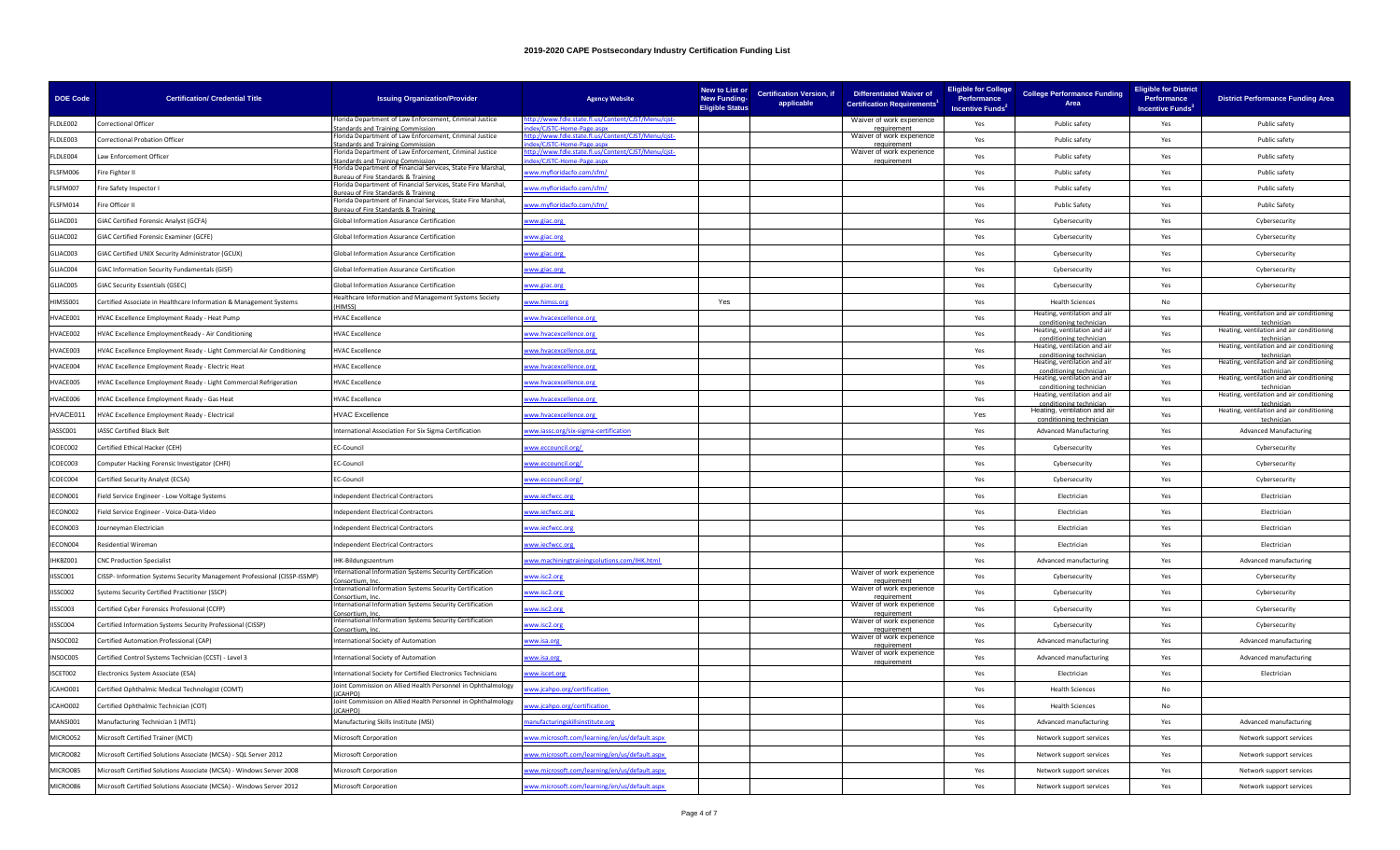| <b>DOE Code</b> | <b>Certification/ Credential Title</b>                                    | <b>Issuing Organization/Provider</b>                                                                           | <b>Agency Website</b>                                                                                                                                                                               | New to List or<br><b>New Funding-</b><br><b>Eligible Status</b> | applicable | Certification Version, if Differentiated Waiver of<br><b>Certification Requirements<sup>1</sup></b> | <b>Eligible for College</b><br>Performance<br>Incentive Funds <sup>2</sup> | <b>College Performance Funding</b><br>Area              | <b>Eligible for District</b><br>Performance<br>Incentive Funds <sup>3</sup> | <b>District Performance Funding Area</b>                |
|-----------------|---------------------------------------------------------------------------|----------------------------------------------------------------------------------------------------------------|-----------------------------------------------------------------------------------------------------------------------------------------------------------------------------------------------------|-----------------------------------------------------------------|------------|-----------------------------------------------------------------------------------------------------|----------------------------------------------------------------------------|---------------------------------------------------------|-----------------------------------------------------------------------------|---------------------------------------------------------|
| FLDLE002        | Correctional Officer                                                      | lorida Department of Law Enforcement, Criminal Justice<br>andards and Training Commission                      | p://www.fdle.state.fl.us/Content/CJST/Menu/cjst-                                                                                                                                                    |                                                                 |            | Waiver of work experience<br>requirement                                                            | Yes                                                                        | Public safety                                           | Yes                                                                         | Public safety                                           |
| FLDLE003        | Correctional Probation Officer                                            | Florida Department of Law Enforcement, Criminal Justice<br>andards and Training Commission                     | tp://www.fdle.state.fl.us/Content/CJST/Menu/cjst-<br><td></td> <td></td> <td>Waiver of work experience<br/>requirement</td> <td>Yes</td> <td>Public safety</td> <td>Yes</td> <td>Public safety</td> |                                                                 |            | Waiver of work experience<br>requirement                                                            | Yes                                                                        | Public safety                                           | Yes                                                                         | Public safety                                           |
| LDLE004         | aw Enforcement Officer                                                    | Iorida Department of Law Enforcement, Criminal Justice<br>andards and Training Commissie                       | tp://www.fdle.state.fl.us/Content/CJST/Menu/cjst-<br><b>WICICTC UNI</b>                                                                                                                             |                                                                 |            | Waiver of work experience                                                                           | Yes                                                                        | Public safety                                           | Yes                                                                         | Public safety                                           |
| FLSFM006        | Fire Fighter II                                                           | Florida Department of Financial Services, State Fire Marshal,<br>ureau of Fire Standards & Training            | ww.myfloridacfo.com/sfm/                                                                                                                                                                            |                                                                 |            |                                                                                                     | Yes                                                                        | Public safety                                           | Yes                                                                         | Public safety                                           |
| FLSFM007        | Fire Safety Inspector I                                                   | Florida Department of Financial Services, State Fire Marshal,<br><b>Ireau of Fire Standards &amp; Training</b> | ww.myfloridacfo.com/sfm/                                                                                                                                                                            |                                                                 |            |                                                                                                     | Yes                                                                        | Public safety                                           | Yes                                                                         | Public safety                                           |
| LSFM014         | Fire Officer II                                                           | Florida Department of Financial Services, State Fire Marshal,<br>ureau of Fire Standards & Training            | ww.myfloridacfo.com/sfm/                                                                                                                                                                            |                                                                 |            |                                                                                                     | Yes                                                                        | Public Safety                                           | Yes                                                                         | Public Safety                                           |
| LIAC001         | GIAC Certified Forensic Analyst (GCFA)                                    | Global Information Assurance Certification                                                                     | ww.giac.org                                                                                                                                                                                         |                                                                 |            |                                                                                                     | Yes                                                                        | Cybersecurity                                           | Yes                                                                         | Cybersecurity                                           |
| LIAC002         | GIAC Certified Forensic Examiner (GCFE)                                   | Global Information Assurance Certification                                                                     | ww.giac.org                                                                                                                                                                                         |                                                                 |            |                                                                                                     | Yes                                                                        | Cybersecurity                                           | Yes                                                                         | Cybersecurity                                           |
| GLIACO03        | GIAC Certified UNIX Security Administrator (GCUX)                         | Global Information Assurance Certification                                                                     | ww.giac.org                                                                                                                                                                                         |                                                                 |            |                                                                                                     | Yes                                                                        | Cybersecurity                                           | Yes                                                                         | Cybersecurity                                           |
| GLIAC004        | GIAC Information Security Fundamentals (GISF)                             | Global Information Assurance Certification                                                                     | ww.giac.org                                                                                                                                                                                         |                                                                 |            |                                                                                                     | Yes                                                                        | Cybersecurity                                           | Yes                                                                         | Cybersecurity                                           |
| LIAC005         | GIAC Security Essentials (GSEC)                                           | Global Information Assurance Certification                                                                     | ww.giac.org                                                                                                                                                                                         |                                                                 |            |                                                                                                     | Yes                                                                        | Cybersecurity                                           | Yes                                                                         | Cybersecurity                                           |
| IIMSS001        | Certified Associate in Healthcare Information & Management Systems        | Healthcare Information and Management Systems Society<br>(HIMSS)                                               | ww.himss.org                                                                                                                                                                                        | Yes                                                             |            |                                                                                                     | Yes                                                                        | <b>Health Sciences</b>                                  | <b>No</b>                                                                   |                                                         |
| IVACE001        | HVAC Excellence Employment Ready - Heat Pump                              | <b>HVAC Excellence</b>                                                                                         | ww.hvacexcellence.org                                                                                                                                                                               |                                                                 |            |                                                                                                     | Yes                                                                        | Heating, ventilation and air<br>conditioning technic    | Yes                                                                         | Heating, ventilation and air conditioning               |
| IVACE002        | HVAC Excellence EmploymentReady - Air Conditioning                        | <b>HVAC Excellence</b>                                                                                         | ww.hvacexcellence.org                                                                                                                                                                               |                                                                 |            |                                                                                                     | Yes                                                                        | Heating, ventilation and air<br>conditioning technicia  | Yes                                                                         | Heating, ventilation and air conditioning<br>technician |
| HVACE003        | HVAC Excellence Employment Ready - Light Commercial Air Conditioning      | <b>HVAC Excellence</b>                                                                                         | ww.hvacexcellence.org                                                                                                                                                                               |                                                                 |            |                                                                                                     | Yes                                                                        | Heating, ventilation and air<br>conditioning techniciar | Yes                                                                         | Heating, ventilation and air conditioning<br>techniciar |
| HVACE004        | IVAC Excellence Employment Ready - Electric Heat                          | <b>HVAC Excellence</b>                                                                                         | ww.hvacexcellence.org                                                                                                                                                                               |                                                                 |            |                                                                                                     | Yes                                                                        | Heating, ventilation and air<br>conditioning technician | Yes                                                                         | Heating, ventilation and air conditioning<br>technician |
| IVACE005        | HVAC Excellence Employment Ready - Light Commercial Refrigeration         | <b>HVAC Excellence</b>                                                                                         | ww.hvacexcellence.org                                                                                                                                                                               |                                                                 |            |                                                                                                     | Yes                                                                        | Heating, ventilation and air<br>conditioning technicia  | Yes                                                                         | Heating, ventilation and air conditioning<br>technicia  |
| IVACE006        | <b>HVAC Excellence Employment Ready - Gas Heat</b>                        | <b>HVAC Excellence</b>                                                                                         | ww.hvacexcellence.org                                                                                                                                                                               |                                                                 |            |                                                                                                     | Yes                                                                        | Heating, ventilation and air<br>conditioning technic    | Yes                                                                         | Heating, ventilation and air conditioning               |
| HVACE011        | HVAC Excellence Employment Ready - Electrical                             | <b>HVAC Excellence</b>                                                                                         | ww.hvacexcellence.org                                                                                                                                                                               |                                                                 |            |                                                                                                     | Yes                                                                        | Heating, ventilation and air<br>conditioning technician | Yes                                                                         | Heating, ventilation and air conditioning<br>technician |
| ASSC001         | <b>IASSC Certified Black Belt</b>                                         | International Association For Six Sigma Certification                                                          | ww.iassc.org/six-sigma-certification                                                                                                                                                                |                                                                 |            |                                                                                                     | Yes                                                                        | <b>Advanced Manufacturing</b>                           | Yes                                                                         | <b>Advanced Manufacturing</b>                           |
| COEC002         | Certified Ethical Hacker (CEH)                                            | EC-Council                                                                                                     | ww.eccouncil.org/                                                                                                                                                                                   |                                                                 |            |                                                                                                     | Yes                                                                        | Cybersecurity                                           | Yes                                                                         | Cybersecurity                                           |
| ICOEC003        | Computer Hacking Forensic Investigator (CHFI)                             | EC-Council                                                                                                     | ww.eccouncil.org/                                                                                                                                                                                   |                                                                 |            |                                                                                                     | Yes                                                                        | Cybersecurity                                           | Yes                                                                         | Cybersecurity                                           |
| COEC004         | Certified Security Analyst (ECSA)                                         | EC-Council                                                                                                     | ww.eccouncil.org/                                                                                                                                                                                   |                                                                 |            |                                                                                                     | Yes                                                                        | Cybersecurity                                           | Yes                                                                         | Cybersecurity                                           |
| FCON001         | Field Service Engineer - Low Voltage Systems                              | <b>Independent Electrical Contractors</b>                                                                      | ww.iecfwcc.org                                                                                                                                                                                      |                                                                 |            |                                                                                                     | Yes                                                                        | Flectrician                                             | Yes                                                                         | Flectrician                                             |
| ECON002         | ield Service Engineer - Voice-Data-Video                                  | <b>Independent Electrical Contractors</b>                                                                      | ww.iecfwcc.org                                                                                                                                                                                      |                                                                 |            |                                                                                                     | Yes                                                                        | Electrician                                             | Yes                                                                         | Electrician                                             |
| ECON003         | ourneyman Electrician                                                     | ndependent Electrical Contractors                                                                              | ww.iecfwcc.org                                                                                                                                                                                      |                                                                 |            |                                                                                                     | Yes                                                                        | Electrician                                             | Yes                                                                         | Electrician                                             |
| ECON004         | Residential Wireman                                                       | <b>Independent Electrical Contractors</b>                                                                      | ww.iecfwcc.org                                                                                                                                                                                      |                                                                 |            |                                                                                                     | Yes                                                                        | Electrician                                             | Yes                                                                         | Electrician                                             |
| HKBZ001         | <b>CNC Production Specialist</b>                                          | IHK-Bildungszentrum                                                                                            | ww.machiningtrainingsolutions.com/IHK.html                                                                                                                                                          |                                                                 |            |                                                                                                     | Yes                                                                        | Advanced manufacturing                                  | Yes                                                                         | Advanced manufacturing                                  |
| ISSC001         | CISSP- Information Systems Security Management Professional (CISSP-ISSMP) | nternational Information Systems Security Certification<br>onsortium, Inc.                                     | ww.isc2.org                                                                                                                                                                                         |                                                                 |            | Waiver of work experience<br>requirement                                                            | Yes                                                                        | Cybersecurity                                           | Yes                                                                         | Cybersecurity                                           |
| ISSC002         | Systems Security Certified Practitioner (SSCP)                            | International Information Systems Security Certification<br>onsortium, Ind                                     | ww.isc2.org                                                                                                                                                                                         |                                                                 |            | Waiver of work experience<br>requirement                                                            | Yes                                                                        | Cybersecurity                                           | Yes                                                                         | Cybersecurity                                           |
| ISSC003         | Certified Cyber Forensics Professional (CCFP)                             | International Information Systems Security Certification<br>consortium. I                                      | ww.isc2.org                                                                                                                                                                                         |                                                                 |            | Waiver of work experience                                                                           | Yes                                                                        | Cybersecurity                                           | Yes                                                                         | Cybersecurity                                           |
| ISSC004         | Certified Information Systems Security Professional (CISSP)               | International Information Systems Security Certification<br>Consortium, Inc.                                   | ww.isc2.org                                                                                                                                                                                         |                                                                 |            | Waiver of work experience<br>requirement                                                            | Yes                                                                        | Cybersecurity                                           | Yes                                                                         | Cybersecurity                                           |
| NSOC002         | <b>Certified Automation Professional (CAP)</b>                            | <b>International Society of Automation</b>                                                                     | ww.isa.org                                                                                                                                                                                          |                                                                 |            | Waiver of work experience<br>requirement                                                            | Yes                                                                        | Advanced manufacturing                                  | Yes                                                                         | Advanced manufacturing                                  |
| NSOC005         | Certified Control Systems Technician (CCST) - Level 3                     | International Society of Automation                                                                            | ww.isa.org                                                                                                                                                                                          |                                                                 |            | Waiver of work experience<br>requirement                                                            | Yes                                                                        | Advanced manufacturing                                  | Yes                                                                         | Advanced manufacturing                                  |
| ISCET002        | Electronics System Associate (ESA)                                        | International Society for Certified Electronics Technicians                                                    | ww.iscet.org                                                                                                                                                                                        |                                                                 |            |                                                                                                     | Yes                                                                        | Electrician                                             | Yes                                                                         | Electrician                                             |
| ICAHO001        | Certified Ophthalmic Medical Technologist (COMT)                          | Joint Commission on Allied Health Personnel in Ophthalmology<br>(ICAHPO)                                       | ww.jcahpo.org/certification                                                                                                                                                                         |                                                                 |            |                                                                                                     | Yes                                                                        | <b>Health Sciences</b>                                  | No                                                                          |                                                         |
| <b>CAHO002</b>  | Certified Ophthalmic Technician (COT)                                     | Joint Commission on Allied Health Personnel in Ophthalmology<br>(ICAHPO)                                       | ww.jcahpo.org/certification                                                                                                                                                                         |                                                                 |            |                                                                                                     | Yes                                                                        | <b>Health Sciences</b>                                  | No                                                                          |                                                         |
| AANSI001        | Manufacturing Technician 1 (MT1)                                          | Manufacturing Skills Institute (MSI)                                                                           | anufacturingskillsinstitute.org                                                                                                                                                                     |                                                                 |            |                                                                                                     | Yes                                                                        | Advanced manufacturing                                  | Yes                                                                         | Advanced manufacturing                                  |
| <b>MICRO052</b> | Microsoft Certified Trainer (MCT)                                         | Microsoft Corporation                                                                                          | ww.microsoft.com/learning/en/us/default.aspx                                                                                                                                                        |                                                                 |            |                                                                                                     | Yes                                                                        | Network support services                                | Yes                                                                         | Network support services                                |
| MICRO082        | Microsoft Certified Solutions Associate (MCSA) - SQL Server 2012          | Microsoft Corporation                                                                                          | ww.microsoft.com/learning/en/us/default.aspx                                                                                                                                                        |                                                                 |            |                                                                                                     | Yes                                                                        | Network support services                                | Yes                                                                         | Network support services                                |
| MICRO085        | Microsoft Certified Solutions Associate (MCSA) - Windows Server 2008      | Microsoft Corporation                                                                                          | ww.microsoft.com/learning/en/us/default.aspx                                                                                                                                                        |                                                                 |            |                                                                                                     | Yes                                                                        | Network support services                                | Yes                                                                         | Network support services                                |
| MICRO086        | Microsoft Certified Solutions Associate (MCSA) - Windows Server 2012      | <b>Microsoft Corporation</b>                                                                                   | ww.microsoft.com/learning/en/us/default.aspx                                                                                                                                                        |                                                                 |            |                                                                                                     | Yes                                                                        | Network support services                                | Yes                                                                         | Network support services                                |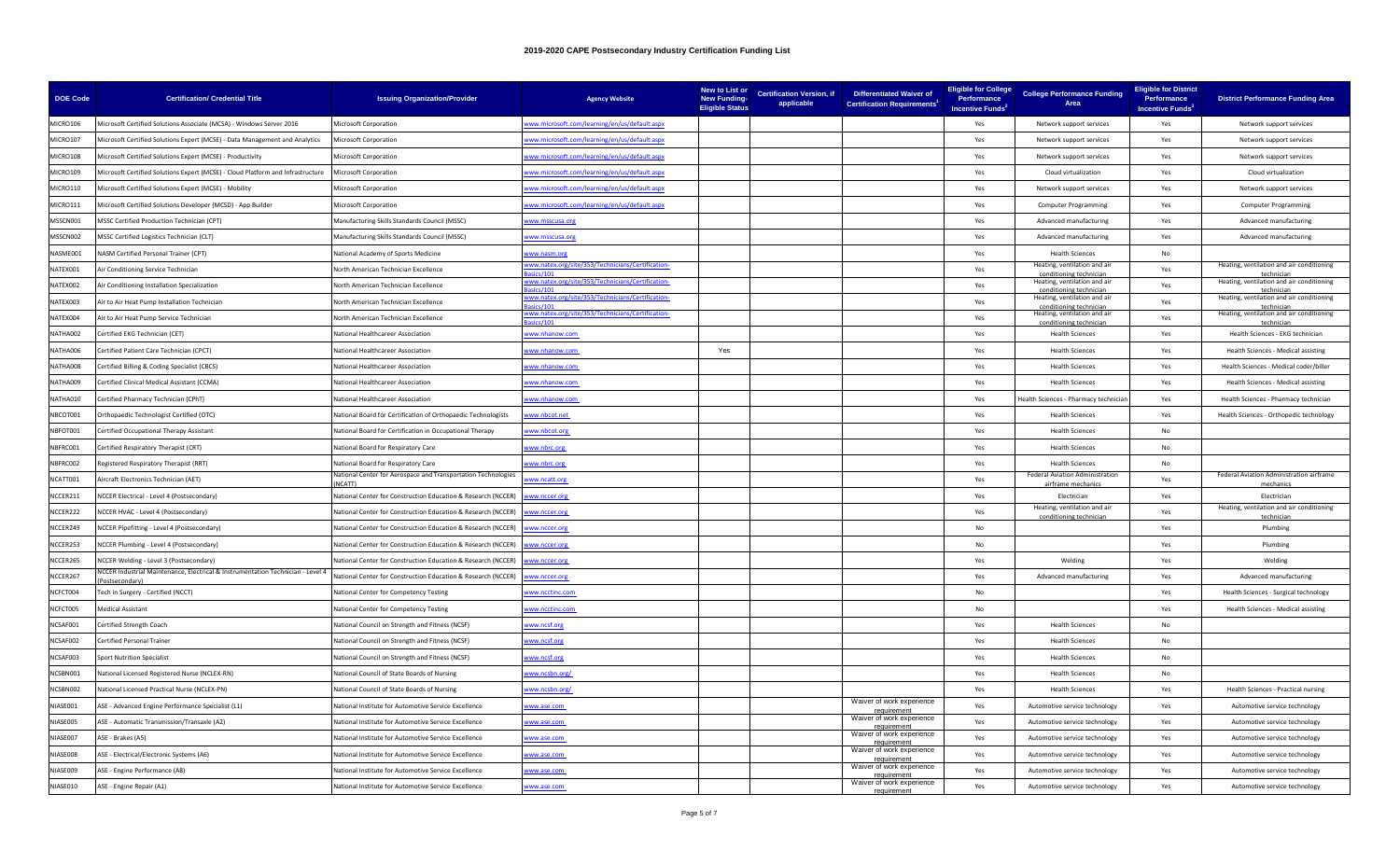| <b>DOE Code</b> | <b>Certification/ Credential Title</b>                                                                     | <b>Issuing Organization/Provider</b>                                           | <b>Agency Website</b>                                       | New to List or<br><b>New Funding-</b><br><b>Eligible Status</b> | <b>Certification Version, if</b><br>applicable | <b>Differentiated Waiver of</b><br><b>Certification Requirements<sup>1</sup></b> | <b>Eligible for College</b><br>Performance<br><b>Incentive Funds<sup>2</sup></b> | <b>College Performance Funding</b><br>Area              | <b>Eligible for District</b><br>Performance<br>Incentive Funds <sup>3</sup> | <b>District Performance Funding Area</b>                |
|-----------------|------------------------------------------------------------------------------------------------------------|--------------------------------------------------------------------------------|-------------------------------------------------------------|-----------------------------------------------------------------|------------------------------------------------|----------------------------------------------------------------------------------|----------------------------------------------------------------------------------|---------------------------------------------------------|-----------------------------------------------------------------------------|---------------------------------------------------------|
| MICRO106        | Microsoft Certified Solutions Associate (MCSA) - Windows Server 2016                                       | <b>Microsoft Corporation</b>                                                   | ww.microsoft.com/learning/en/us/default.aspx                |                                                                 |                                                |                                                                                  | Yes                                                                              | Network support services                                | Yes                                                                         | Network support services                                |
| MICRO107        | Microsoft Certified Solutions Expert (MCSE) - Data Management and Analytics                                | <b>Microsoft Corporation</b>                                                   | ww.microsoft.com/learning/en/us/default.aspx                |                                                                 |                                                |                                                                                  | Yes                                                                              | Network support services                                | Yes                                                                         | Network support services                                |
| MICRO108        | Microsoft Certified Solutions Expert (MCSE) - Productivity                                                 | Microsoft Corporation                                                          | ww.microsoft.com/learning/en/us/default.aspx                |                                                                 |                                                |                                                                                  | Yes                                                                              | Network support services                                | Yes                                                                         | Network support services                                |
| MICRO109        | Microsoft Certified Solutions Expert (MCSE) - Cloud Platform and Infrastructure                            | <b>Microsoft Corporation</b>                                                   | ww.microsoft.com/learning/en/us/default.aspx                |                                                                 |                                                |                                                                                  | Yes                                                                              | Cloud virtualization                                    | Yes                                                                         | Cloud virtualization                                    |
| MICRO110        | Microsoft Certified Solutions Expert (MCSE) - Mobility                                                     | Microsoft Corporation                                                          | ww.microsoft.com/learning/en/us/default.aspx                |                                                                 |                                                |                                                                                  | Yes                                                                              | Network support services                                | Yes                                                                         | Network support services                                |
| MICRO111        | Microsoft Certified Solutions Developer (MCSD) - App Builder                                               | Microsoft Corporation                                                          | ww.microsoft.com/learning/en/us/default.aspx                |                                                                 |                                                |                                                                                  | Yes                                                                              | <b>Computer Programming</b>                             | Yes                                                                         | <b>Computer Programming</b>                             |
| MSSCN001        | MSSC Certified Production Technician (CPT)                                                                 | Manufacturing Skills Standards Council (MSSC)                                  | ww.msscusa.org                                              |                                                                 |                                                |                                                                                  | Yes                                                                              | Advanced manufacturing                                  | Yes                                                                         | Advanced manufacturing                                  |
| MSSCN002        | MSSC Certified Logistics Technician (CLT)                                                                  | Manufacturing Skills Standards Council (MSSC)                                  | ww.msscusa.org                                              |                                                                 |                                                |                                                                                  | Yes                                                                              | Advanced manufacturing                                  | Yes                                                                         | Advanced manufacturing                                  |
| NASME001        | NASM Certified Personal Trainer (CPT)                                                                      | National Academy of Sports Medicine                                            | ww.nasm.org                                                 |                                                                 |                                                |                                                                                  | Yes                                                                              | <b>Health Sciences</b>                                  | No                                                                          |                                                         |
| NATEX001        | Air Conditioning Service Technician                                                                        | North American Technician Excellence                                           | ww.natex.org/site/353/Technicians/Certification-<br>ice/101 |                                                                 |                                                |                                                                                  | Yes                                                                              | Heating, ventilation and air<br>conditioning technicial | Yes                                                                         | Heating, ventilation and air conditioning<br>techniciar |
| NATEX002        | Air Conditioning Installation Specialization                                                               | North American Technician Excellence                                           | ww.natex.org/site/353/Technicians/Certification-            |                                                                 |                                                |                                                                                  | Yes                                                                              | Heating, ventilation and air<br>conditioning technician | Yes                                                                         | Heating, ventilation and air conditioning<br>techniciar |
| NATEX003        | Air to Air Heat Pump Installation Technician                                                               | North American Technician Excellence                                           | ww.natex.org/site/353/Technicians/Certification-            |                                                                 |                                                |                                                                                  | Yes                                                                              | Heating, ventilation and air<br>conditioning technician | Yes                                                                         | Heating, ventilation and air conditioning<br>technician |
| NATEX004        | Air to Air Heat Pump Service Technician                                                                    | North American Technician Excellence                                           | ww.natex.org/site/353/Technicians/Certification-            |                                                                 |                                                |                                                                                  | Yes                                                                              | Heating, ventilation and air                            | Yes                                                                         | Heating, ventilation and air conditioning               |
| NATHA002        | Certified EKG Technician (CET)                                                                             | National Healthcareer Association                                              | ww.nhanow.com                                               |                                                                 |                                                |                                                                                  | Yes                                                                              | <b>Health Sciences</b>                                  | Yes                                                                         | Health Sciences - EKG technician                        |
| NATHA006        | Certified Patient Care Technician (CPCT)                                                                   | National Healthcareer Association                                              | ww.nhanow.com                                               | Yes                                                             |                                                |                                                                                  | Yes                                                                              | <b>Health Sciences</b>                                  | Yes                                                                         | Health Sciences - Medical assisting                     |
| NATHA008        | Certified Billing & Coding Specialist (CBCS)                                                               | National Healthcareer Association                                              | ww.nhanow.com                                               |                                                                 |                                                |                                                                                  | Yes                                                                              | <b>Health Sciences</b>                                  | Yes                                                                         | Health Sciences - Medical coder/biller                  |
| NATHA009        | Certified Clinical Medical Assistant (CCMA)                                                                | National Healthcareer Association                                              | ww.nhanow.com                                               |                                                                 |                                                |                                                                                  | Yes                                                                              | <b>Health Sciences</b>                                  | Yes                                                                         | Health Sciences - Medical assisting                     |
| NATHA010        | Certified Pharmacy Technician (CPhT)                                                                       | National Healthcareer Association                                              | ww.nhanow.com                                               |                                                                 |                                                |                                                                                  | Yes                                                                              | lealth Sciences - Pharmacy technicia                    | Yes                                                                         | Health Sciences - Pharmacy technician                   |
| NBCOT001        | Orthopaedic Technologist Certified (OTC)                                                                   | National Board for Certification of Orthopaedic Technologists                  | ww.nbcot.net                                                |                                                                 |                                                |                                                                                  | Yes                                                                              | <b>Health Sciences</b>                                  | Yes                                                                         | Health Sciences - Orthopedic technology                 |
| NBFOT001        | Certified Occupational Therapy Assistant                                                                   | National Board for Certification in Occupational Therapy                       | ww.nbcot.org                                                |                                                                 |                                                |                                                                                  | Yes                                                                              | <b>Health Sciences</b>                                  | No                                                                          |                                                         |
| NBFRC001        | Certified Respiratory Therapist (CRT)                                                                      | National Board for Respiratory Care                                            | ww.nbrc.org                                                 |                                                                 |                                                |                                                                                  | Yes                                                                              | <b>Health Sciences</b>                                  | No                                                                          |                                                         |
| NBFRC002        | Registered Respiratory Therapist (RRT)                                                                     | National Board for Respiratory Care                                            | ww.nbrc.org                                                 |                                                                 |                                                |                                                                                  | Yes                                                                              | <b>Health Sciences</b>                                  | No                                                                          |                                                         |
| NCATT001        | Aircraft Electronics Technician (AET)                                                                      | National Center for Aerospace and Transportation Technologies<br><b>NCATTI</b> | ww.ncatt.org                                                |                                                                 |                                                |                                                                                  | Yes                                                                              | Federal Aviation Administration<br>irframa macha        | Yes                                                                         | Federal Aviation Administration airframe                |
| NCCER211        | NCCER Electrical - Level 4 (Postsecondary)                                                                 | National Center for Construction Education & Research (NCCER)                  | ww.nccer.org                                                |                                                                 |                                                |                                                                                  | Yes                                                                              | Electrician                                             | Yes                                                                         | Electrician                                             |
| NCCER222        | NCCER HVAC - Level 4 (Postsecondary)                                                                       | National Center for Construction Education & Research (NCCER)                  | ww.nccer.org                                                |                                                                 |                                                |                                                                                  | Yes                                                                              | Heating, ventilation and air<br>conditioning technicia  | Yes                                                                         | Heating, ventilation and air conditioning<br>techniciar |
| NCCER249        | NCCER Pipefitting - Level 4 (Postsecondary)                                                                | Vational Center for Construction Education & Research (NCCER)                  | ww.nccer.org                                                |                                                                 |                                                |                                                                                  | No                                                                               |                                                         | Yes                                                                         | Plumbing                                                |
| NCCER253        | NCCER Plumbing - Level 4 (Postsecondary)                                                                   | National Center for Construction Education & Research (NCCER)                  | ww.nccer.org                                                |                                                                 |                                                |                                                                                  | No                                                                               |                                                         | Yes                                                                         | Plumbing                                                |
| NCCER265        | NCCER Welding - Level 3 (Postsecondary)                                                                    | National Center for Construction Education & Research (NCCER)                  | ww.nccer.org                                                |                                                                 |                                                |                                                                                  | Yes                                                                              | Welding                                                 | Yes                                                                         | Welding                                                 |
| NCCER267        | <b>NCCER Industrial Maintenance, Electrical &amp; Instrumentation Technician - Level 4</b><br>ostsecondarv | National Center for Construction Education & Research (NCCER)                  | ww.nccer.org                                                |                                                                 |                                                |                                                                                  | Yes                                                                              | Advanced manufacturing                                  | Yes                                                                         | Advanced manufacturing                                  |
| NCFCT004        | Tech in Surgery - Certified (NCCT)                                                                         | National Center for Competency Testing                                         | ww.ncctinc.com                                              |                                                                 |                                                |                                                                                  | No                                                                               |                                                         | Yes                                                                         | Health Sciences - Surgical technology                   |
| NCFCT005        | <b>Medical Assistant</b>                                                                                   | National Center for Competency Testing                                         | ww.ncctinc.com                                              |                                                                 |                                                |                                                                                  | No                                                                               |                                                         | Yes                                                                         | <b>Health Sciences - Medical assisting</b>              |
| NCSAF001        | Certified Strength Coach                                                                                   | National Council on Strength and Fitness (NCSF)                                | ww.ncsf.org                                                 |                                                                 |                                                |                                                                                  | Yes                                                                              | <b>Health Sciences</b>                                  | No                                                                          |                                                         |
| NCSAF002        | <b>Certified Personal Trainer</b>                                                                          | National Council on Strength and Fitness (NCSF)                                | ww.ncsf.org                                                 |                                                                 |                                                |                                                                                  | Yes                                                                              | <b>Health Sciences</b>                                  | No.                                                                         |                                                         |
| NCSAF003        | <b>Sport Nutrition Specialist</b>                                                                          | National Council on Strength and Fitness (NCSF)                                | ww.ncsf.org                                                 |                                                                 |                                                |                                                                                  | Yes                                                                              | <b>Health Sciences</b>                                  | No                                                                          |                                                         |
| NCSBN001        | National Licensed Registered Nurse (NCLEX-RN)                                                              | National Council of State Boards of Nursing                                    | ww.ncsbn.org/                                               |                                                                 |                                                |                                                                                  | Yes                                                                              | <b>Health Sciences</b>                                  | No                                                                          |                                                         |
| NCSBN002        | National Licensed Practical Nurse (NCLEX-PN)                                                               | Vational Council of State Boards of Nursing                                    | ww.ncsbn.org/                                               |                                                                 |                                                |                                                                                  | Yes                                                                              | <b>Health Sciences</b>                                  | Yes                                                                         | Health Sciences - Practical nursing                     |
| NIASE001        | ASE - Advanced Engine Performance Specialist (L1)                                                          | National Institute for Automotive Service Excellence                           | ww.ase.com                                                  |                                                                 |                                                | Waiver of work experience<br>requirement                                         | Yes                                                                              | Automotive service technology                           | Yes                                                                         | Automotive service technology                           |
| NIASE005        | ASE - Automatic Transmission/Transaxle (A2)                                                                | National Institute for Automotive Service Excellence                           | ww.ase.com                                                  |                                                                 |                                                | Waiver of work experience<br>requirement                                         | Yes                                                                              | Automotive service technology                           | Yes                                                                         | Automotive service technology                           |
| NIASE007        | ASE - Brakes (A5)                                                                                          | National Institute for Automotive Service Excellence                           | ww.ase.com                                                  |                                                                 |                                                | Waiver of work experience<br>requiremer                                          | Yes                                                                              | Automotive service technology                           | Yes                                                                         | Automotive service technology                           |
| NIASE008        | ASE - Electrical/Electronic Systems (A6)                                                                   | National Institute for Automotive Service Excellence                           | www.ase.com                                                 |                                                                 |                                                | Waiver of work experience<br>requirement                                         | Yes                                                                              | Automotive service technology                           | Yes                                                                         | Automotive service technology                           |
| NIASE009        | ASE - Engine Performance (A8)                                                                              | National Institute for Automotive Service Excellence                           | ww.ase.com                                                  |                                                                 |                                                | Waiver of work experience<br>requirement                                         | Yes                                                                              | Automotive service technology                           | Yes                                                                         | Automotive service technology                           |
| NIASE010        | ASE - Engine Repair (A1)                                                                                   | National Institute for Automotive Service Excellence                           | ww.ase.com                                                  |                                                                 |                                                | Waiver of work experience<br>requirement                                         | Yes                                                                              | Automotive service technology                           | Yes                                                                         | Automotive service technology                           |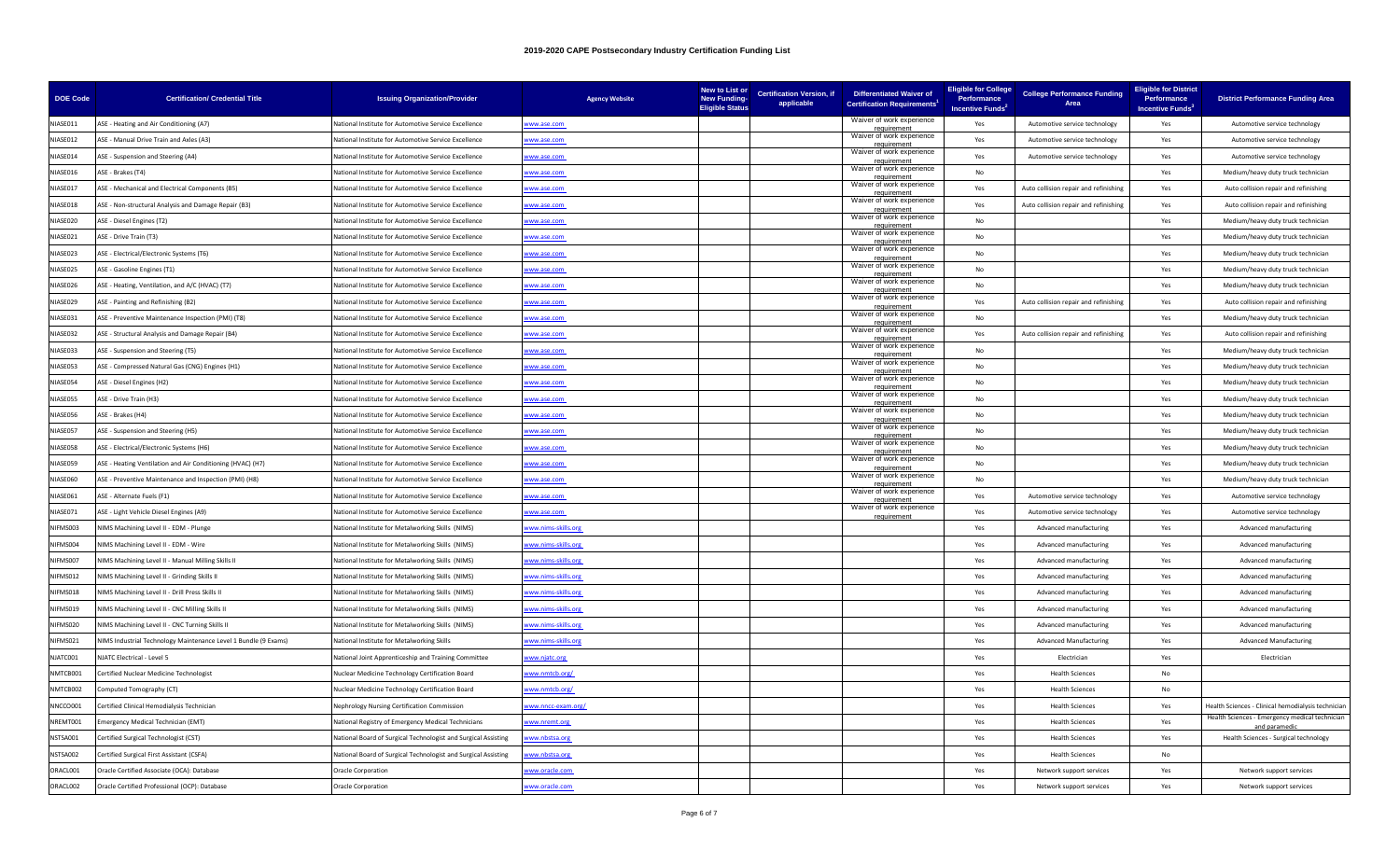| <b>DOE Code</b> | <b>Certification/ Credential Title</b>                          | <b>Issuing Organization/Provider</b>                           | <b>Agency Website</b> | New to List or<br><b>New Funding-</b><br><b>Eligible Status</b> | <b>Certification Version, if</b><br>applicable | <b>Differentiated Waiver of</b><br><b>Certification Requirements</b> | <b>Eligible for College</b><br>Performance<br>Incentive Funds <sup>2</sup> | <b>College Performance Funding</b><br>Area | <b>Eligible for District</b><br>Performance<br>Incentive Funds <sup>3</sup> | <b>District Performance Funding Area</b>                       |
|-----------------|-----------------------------------------------------------------|----------------------------------------------------------------|-----------------------|-----------------------------------------------------------------|------------------------------------------------|----------------------------------------------------------------------|----------------------------------------------------------------------------|--------------------------------------------|-----------------------------------------------------------------------------|----------------------------------------------------------------|
| NIASE011        | ASE - Heating and Air Conditioning (A7)                         | National Institute for Automotive Service Excellence           | ww.ase.com            |                                                                 |                                                | Waiver of work experience<br>requirement                             | Yes                                                                        | Automotive service technology              | Yes                                                                         | Automotive service technology                                  |
| NIASE012        | ASE - Manual Drive Train and Axles (A3)                         | National Institute for Automotive Service Excellence           | ww.ase.com            |                                                                 |                                                | Waiver of work experience<br>eguirement                              | Yes                                                                        | Automotive service technology              | Yes                                                                         | Automotive service technology                                  |
| NIASE014        | ASE - Suspension and Steering (A4)                              | National Institute for Automotive Service Excellence           | ww.ase.com            |                                                                 |                                                | Waiver of work experience<br>requirement                             | Yes                                                                        | Automotive service technology              | Yes                                                                         | Automotive service technology                                  |
| NIASE016        | ASE - Brakes (T4)                                               | National Institute for Automotive Service Excellence           | ww.ase.com            |                                                                 |                                                | Waiver of work experience<br>requirement                             | No                                                                         |                                            | Yes                                                                         | Medium/heavy duty truck technician                             |
| NIASE017        | ASE - Mechanical and Electrical Components (B5)                 | National Institute for Automotive Service Excellence           | ww.ase.com            |                                                                 |                                                | Waiver of work experience                                            | Yes                                                                        | Auto collision repair and refinishing      | Yes                                                                         | Auto collision repair and refinishing                          |
| NIASE018        | ASE - Non-structural Analysis and Damage Repair (B3)            | National Institute for Automotive Service Excellence           | vww.ase.com           |                                                                 |                                                | Waiver of work experience<br>requirement                             | Yes                                                                        | Auto collision repair and refinishing      | Yes                                                                         | Auto collision repair and refinishing                          |
| NIASE020        | ASE - Diesel Engines (T2)                                       | National Institute for Automotive Service Excellence           | ww.ase.com            |                                                                 |                                                | Waiver of work experience<br>requirement                             | No.                                                                        |                                            | Yes                                                                         | Medium/heavy duty truck technician                             |
| NIASE021        | ASE - Drive Train (T3)                                          | National Institute for Automotive Service Excellence           | www.ase.com           |                                                                 |                                                | Waiver of work experience<br>reauirement                             | <b>No</b>                                                                  |                                            | Yes                                                                         | Medium/heavy duty truck technician                             |
| NIASE023        | ASE - Electrical/Electronic Systems (T6)                        | National Institute for Automotive Service Excellence           | www.ase.com           |                                                                 |                                                | Waiver of work experience<br>requirement                             | No                                                                         |                                            | Yes                                                                         | Medium/heavy duty truck technician                             |
| NIASE025        | ASE - Gasoline Engines (T1)                                     | Vational Institute for Automotive Service Excellence           | ww.ase.com            |                                                                 |                                                | Waiver of work experience<br>requirement                             | No                                                                         |                                            | Yes                                                                         | Medium/heavy duty truck technician                             |
| NIASE026        | ASE - Heating, Ventilation, and A/C (HVAC) (T7)                 | National Institute for Automotive Service Excellence           | ww.ase.com            |                                                                 |                                                | Waiver of work experience<br>requirement                             | No.                                                                        |                                            | Yes                                                                         | Medium/heavy duty truck technician                             |
| NIASE029        | ASE - Painting and Refinishing (B2)                             | National Institute for Automotive Service Excellence           | vww.ase.com           |                                                                 |                                                | Waiver of work experience<br>requirement                             | Yes                                                                        | Auto collision repair and refinishing      | Yes                                                                         | Auto collision repair and refinishing                          |
| NIASE031        | ASE - Preventive Maintenance Inspection (PMI) (T8)              | National Institute for Automotive Service Excellence           | ww.ase.com            |                                                                 |                                                | Waiver of work experience<br>reauiremen                              | <b>No</b>                                                                  |                                            | Yes                                                                         | Medium/heavy duty truck technician                             |
| NIASE032        | ASE - Structural Analysis and Damage Repair (B4)                | National Institute for Automotive Service Excellence           | www.ase.com           |                                                                 |                                                | Waiver of work experience<br>requirement                             | Yes                                                                        | Auto collision repair and refinishing      | Yes                                                                         | Auto collision repair and refinishing                          |
| NIASE033        | ASE - Suspension and Steering (T5)                              | National Institute for Automotive Service Excellence           | ww.ase.com            |                                                                 |                                                | Waiver of work experience<br>requirement                             | No                                                                         |                                            | Yes                                                                         | Medium/heavy duty truck technician                             |
| NIASE053        | ASE - Compressed Natural Gas (CNG) Engines (H1)                 | National Institute for Automotive Service Excellence           | vww.ase.com           |                                                                 |                                                | Waiver of work experience<br>requirement                             | No                                                                         |                                            | Yes                                                                         | Medium/heavy duty truck technician                             |
| NIASE054        | ASE - Diesel Engines (H2)                                       | National Institute for Automotive Service Excellence           | ww.ase.com            |                                                                 |                                                | Waiver of work experience<br>requirement                             | No                                                                         |                                            | Yes                                                                         | Medium/heavy duty truck technician                             |
| NIASE055        | ASE - Drive Train (H3)                                          | National Institute for Automotive Service Excellence           | vww.ase.com           |                                                                 |                                                | Waiver of work experience                                            | No                                                                         |                                            | Yes                                                                         | Medium/heavy duty truck technician                             |
| NIASE056        | ASE - Brakes (H4)                                               | National Institute for Automotive Service Excellence           | www.ase.com           |                                                                 |                                                | Waiver of work experience<br>requirement                             | No                                                                         |                                            | Yes                                                                         | Medium/heavy duty truck technician                             |
| NIASE057        | ASE - Suspension and Steering (H5)                              | Vational Institute for Automotive Service Excellence           | ww.ase.com            |                                                                 |                                                | Waiver of work experience<br>requirement                             | No                                                                         |                                            | Yes                                                                         | Medium/heavy duty truck technician                             |
| NIASE058        | ASE - Electrical/Electronic Systems (H6)                        | National Institute for Automotive Service Excellence           | www.ase.com           |                                                                 |                                                | Waiver of work experience<br>requirement                             | No                                                                         |                                            | Yes                                                                         | Medium/heavy duty truck technician                             |
| NIASE059        | ASE - Heating Ventilation and Air Conditioning (HVAC) (H7)      | National Institute for Automotive Service Excellence           | www.ase.com           |                                                                 |                                                | Waiver of work experience<br>eauirement                              | <b>No</b>                                                                  |                                            | Yes                                                                         | Medium/heavy duty truck technician                             |
| NIASE060        | ASE - Preventive Maintenance and Inspection (PMI) (H8)          | Vational Institute for Automotive Service Excellence           | ww.ase.com            |                                                                 |                                                | Waiver of work experience                                            | No                                                                         |                                            | Yes                                                                         | Medium/heavy duty truck technician                             |
| NIASE061        | ASE - Alternate Fuels (F1)                                      | National Institute for Automotive Service Excellence           | ww.ase.com            |                                                                 |                                                | Waiver of work experience<br>requirement                             | Yes                                                                        | Automotive service technology              | Yes                                                                         | Automotive service technology                                  |
| NIASE071        | ASE - Light Vehicle Diesel Engines (A9)                         | National Institute for Automotive Service Excellence           | vww.ase.com           |                                                                 |                                                | Waiver of work experience<br>requirement                             | Yes                                                                        | Automotive service technology              | Yes                                                                         | Automotive service technology                                  |
| NIFMS003        | NIMS Machining Level II - EDM - Plunge                          | National Institute for Metalworking Skills (NIMS)              | ww.nims-skills.org    |                                                                 |                                                |                                                                      | Yes                                                                        | Advanced manufacturing                     | Yes                                                                         | Advanced manufacturing                                         |
| NIFMS004        | NIMS Machining Level II - EDM - Wire                            | National Institute for Metalworking Skills (NIMS)              | ww.nims-skills.org    |                                                                 |                                                |                                                                      | Yes                                                                        | Advanced manufacturing                     | Yes                                                                         | Advanced manufacturing                                         |
| NIFMS007        | NIMS Machining Level II - Manual Milling Skills II              | National Institute for Metalworking Skills (NIMS)              | ww.nims-skills.org    |                                                                 |                                                |                                                                      | Yes                                                                        | Advanced manufacturing                     | Yes                                                                         | Advanced manufacturing                                         |
| NIFMS012        | NIMS Machining Level II - Grinding Skills II                    | National Institute for Metalworking Skills (NIMS)              | ww.nims-skills.org    |                                                                 |                                                |                                                                      | Yes                                                                        | Advanced manufacturing                     | Yes                                                                         | Advanced manufacturing                                         |
| NIFMS018        | NIMS Machining Level II - Drill Press Skills II                 | National Institute for Metalworking Skills (NIMS)              | ww.nims-skills.org    |                                                                 |                                                |                                                                      | Yes                                                                        | Advanced manufacturing                     | Yes                                                                         | Advanced manufacturing                                         |
| NIFMS019        | NIMS Machining Level II - CNC Milling Skills II                 | National Institute for Metalworking Skills (NIMS)              | ww.nims-skills.org    |                                                                 |                                                |                                                                      | Yes                                                                        | Advanced manufacturing                     | Yes                                                                         | Advanced manufacturing                                         |
| NIFMS020        | NIMS Machining Level II - CNC Turning Skills II                 | National Institute for Metalworking Skills (NIMS)              | vww.nims-skills.org   |                                                                 |                                                |                                                                      | Yes                                                                        | Advanced manufacturing                     | Yes                                                                         | Advanced manufacturing                                         |
| NIFMS021        | NIMS Industrial Technology Maintenance Level 1 Bundle (9 Exams) | National Institute for Metalworking Skills                     | ww.nims-skills.org    |                                                                 |                                                |                                                                      | Yes                                                                        | <b>Advanced Manufacturing</b>              | Yes                                                                         | <b>Advanced Manufacturing</b>                                  |
| NJATC001        | NJATC Electrical - Level 5                                      | National Joint Apprenticeship and Training Committee           | vww.njatc.org         |                                                                 |                                                |                                                                      | Yes                                                                        | Electrician                                | Yes                                                                         | Electrician                                                    |
| NMTCB001        | Certified Nuclear Medicine Technologist                         | Nuclear Medicine Technology Certification Board                | www.nmtcb.org/        |                                                                 |                                                |                                                                      | Yes                                                                        | <b>Health Sciences</b>                     | No                                                                          |                                                                |
| NMTCB002        | Computed Tomography (CT)                                        | Nuclear Medicine Technology Certification Board                | ww.nmtcb.org/         |                                                                 |                                                |                                                                      | Yes                                                                        | <b>Health Sciences</b>                     | No                                                                          |                                                                |
| NNCCO001        | Certified Clinical Hemodialysis Technician                      | Nephrology Nursing Certification Commission                    | www.nncc-exam.org/    |                                                                 |                                                |                                                                      | Yes                                                                        | <b>Health Sciences</b>                     | Yes                                                                         | Health Sciences - Clinical hemodialysis technician             |
| NREMT001        | mergency Medical Technician (EMT)                               | <b>Vational Registry of Emergency Medical Technicians</b>      | www.nremt.org         |                                                                 |                                                |                                                                      | Yes                                                                        | <b>Health Sciences</b>                     | Yes                                                                         | Health Sciences - Emergency medical technician<br>ınd naramedi |
| NSTSA001        | Certified Surgical Technologist (CST)                           | National Board of Surgical Technologist and Surgical Assisting | ww.nbstsa.org         |                                                                 |                                                |                                                                      | Yes                                                                        | <b>Health Sciences</b>                     | Yes                                                                         | Health Sciences - Surgical technology                          |
| NSTSA002        | Certified Surgical First Assistant (CSFA)                       | National Board of Surgical Technologist and Surgical Assisting | ww.nbstsa.org         |                                                                 |                                                |                                                                      | Yes                                                                        | <b>Health Sciences</b>                     | No                                                                          |                                                                |
| ORACL001        | Oracle Certified Associate (OCA): Database                      | Oracle Corporation                                             | ww.oracle.com         |                                                                 |                                                |                                                                      | Yes                                                                        | Network support services                   | Yes                                                                         | Network support services                                       |
| ORACL002        | Oracle Certified Professional (OCP): Database                   | <b>Oracle Corporation</b>                                      | ww.oracle.com         |                                                                 |                                                |                                                                      | Yes                                                                        | Network support services                   | Yes                                                                         | Network support services                                       |